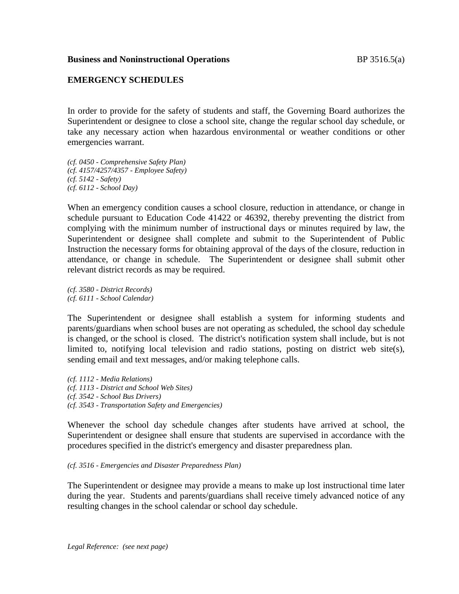## **EMERGENCY SCHEDULES**

In order to provide for the safety of students and staff, the Governing Board authorizes the Superintendent or designee to close a school site, change the regular school day schedule, or take any necessary action when hazardous environmental or weather conditions or other emergencies warrant.

*(cf. 0450 - Comprehensive Safety Plan) (cf. 4157/4257/4357 - Employee Safety) (cf. 5142 - Safety) (cf. 6112 - School Day)*

When an emergency condition causes a school closure, reduction in attendance, or change in schedule pursuant to Education Code 41422 or 46392, thereby preventing the district from complying with the minimum number of instructional days or minutes required by law, the Superintendent or designee shall complete and submit to the Superintendent of Public Instruction the necessary forms for obtaining approval of the days of the closure, reduction in attendance, or change in schedule. The Superintendent or designee shall submit other relevant district records as may be required.

*(cf. 3580 - District Records) (cf. 6111 - School Calendar)*

The Superintendent or designee shall establish a system for informing students and parents/guardians when school buses are not operating as scheduled, the school day schedule is changed, or the school is closed. The district's notification system shall include, but is not limited to, notifying local television and radio stations, posting on district web site(s), sending email and text messages, and/or making telephone calls.

*(cf. 1112 - Media Relations) (cf. 1113 - District and School Web Sites) (cf. 3542 - School Bus Drivers) (cf. 3543 - Transportation Safety and Emergencies)*

Whenever the school day schedule changes after students have arrived at school, the Superintendent or designee shall ensure that students are supervised in accordance with the procedures specified in the district's emergency and disaster preparedness plan.

*(cf. 3516 - Emergencies and Disaster Preparedness Plan)*

The Superintendent or designee may provide a means to make up lost instructional time later during the year. Students and parents/guardians shall receive timely advanced notice of any resulting changes in the school calendar or school day schedule.